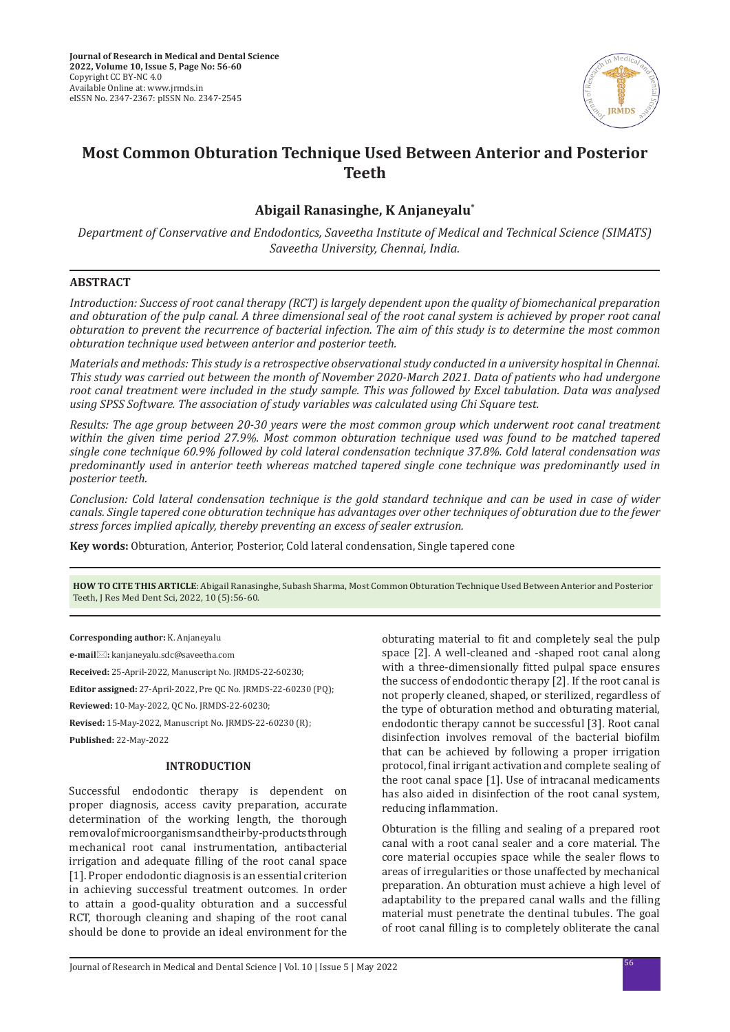

# **Most Common Obturation Technique Used Between Anterior and Posterior Teeth**

## **Abigail Ranasinghe, K Anjaneyalu\***

*Department of Conservative and Endodontics, Saveetha Institute of Medical and Technical Science (SIMATS) Saveetha University, Chennai, India.*

## **ABSTRACT**

*Introduction: Success of root canal therapy (RCT) is largely dependent upon the quality of biomechanical preparation and obturation of the pulp canal. A three dimensional seal of the root canal system is achieved by proper root canal obturation to prevent the recurrence of bacterial infection. The aim of this study is to determine the most common obturation technique used between anterior and posterior teeth.*

*Materials and methods: This study is a retrospective observational study conducted in a university hospital in Chennai. This study was carried out between the month of November 2020-March 2021. Data of patients who had undergone*  root canal treatment were included in the study sample. This was followed by Excel tabulation. Data was analysed *using SPSS Software. The association of study variables was calculated using Chi Square test.* 

*Results: The age group between 20-30 years were the most common group which underwent root canal treatment within the given time period 27.9%. Most common obturation technique used was found to be matched tapered single cone technique 60.9% followed by cold lateral condensation technique 37.8%. Cold lateral condensation was predominantly used in anterior teeth whereas matched tapered single cone technique was predominantly used in posterior teeth.*

*Conclusion: Cold lateral condensation technique is the gold standard technique and can be used in case of wider canals. Single tapered cone obturation technique has advantages over other techniques of obturation due to the fewer stress forces implied apically, thereby preventing an excess of sealer extrusion.*

**Key words:** Obturation, Anterior, Posterior, Cold lateral condensation, Single tapered cone

**HOW TO CITE THIS ARTICLE**: Abigail Ranasinghe, Subash Sharma, Most Common Obturation Technique Used Between Anterior and Posterior Teeth, J Res Med Dent Sci, 2022, 10 (5):56-60.

**Corresponding author:** K. Anjaneyalu

**e-mail:** kanjaneyalu.sdc@saveetha.com

**Received:** 25-April-2022, Manuscript No. JRMDS-22-60230;

**Editor assigned:** 27-April-2022, Pre QC No. JRMDS-22-60230 (PQ);

**Reviewed:** 10-May-2022, QC No. JRMDS-22-60230;

**Revised:** 15-May-2022, Manuscript No. JRMDS-22-60230 (R);

**Published:** 22-May-2022

#### **INTRODUCTION**

Successful endodontic therapy is dependent on proper diagnosis, access cavity preparation, accurate determination of the working length, the thorough removal of microorganisms and their by-products through mechanical root canal instrumentation, antibacterial irrigation and adequate filling of the root canal space [1]. Proper endodontic diagnosis is an essential criterion in achieving successful treatment outcomes. In order to attain a good-quality obturation and a successful RCT, thorough cleaning and shaping of the root canal should be done to provide an ideal environment for the obturating material to fit and completely seal the pulp space [2]. A well-cleaned and -shaped root canal along with a three-dimensionally fitted pulpal space ensures the success of endodontic therapy [2]. If the root canal is not properly cleaned, shaped, or sterilized, regardless of the type of obturation method and obturating material, endodontic therapy cannot be successful [3]. Root canal disinfection involves removal of the bacterial biofilm that can be achieved by following a proper irrigation protocol, final irrigant activation and complete sealing of the root canal space [1]. Use of intracanal medicaments has also aided in disinfection of the root canal system, reducing inflammation.

Obturation is the filling and sealing of a prepared root canal with a root canal sealer and a core material. The core material occupies space while the sealer flows to areas of irregularities or those unaffected by mechanical preparation. An obturation must achieve a high level of adaptability to the prepared canal walls and the filling material must penetrate the dentinal tubules. The goal of root canal filling is to completely obliterate the canal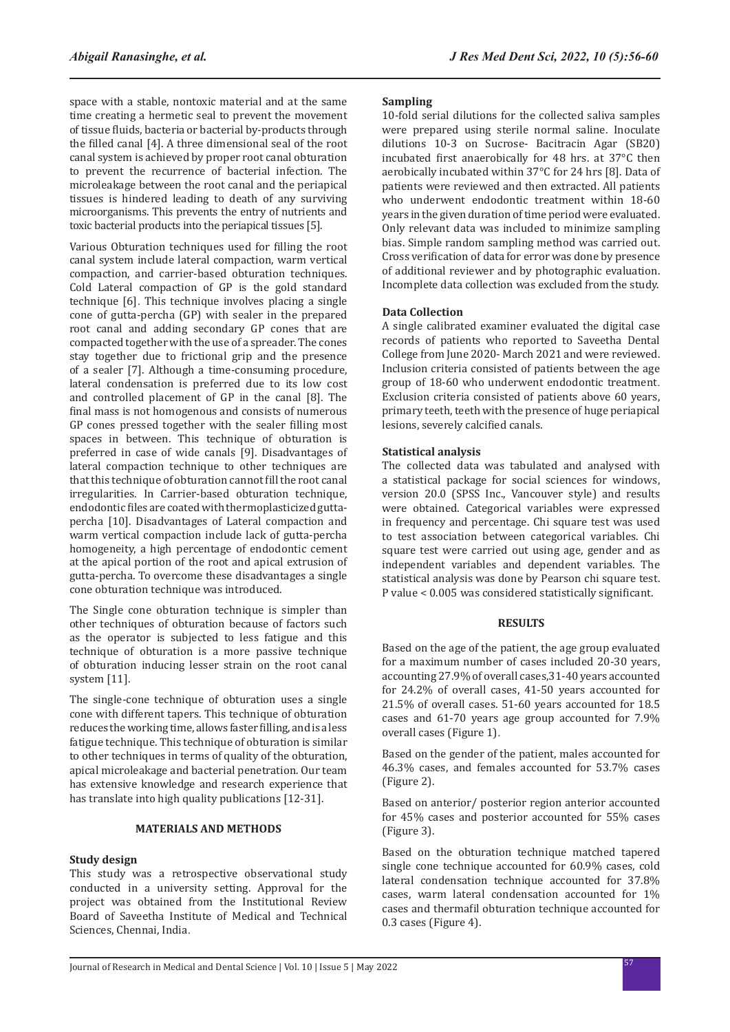space with a stable, nontoxic material and at the same time creating a hermetic seal to prevent the movement of tissue fluids, bacteria or bacterial by-products through the filled canal [4]. A three dimensional seal of the root canal system is achieved by proper root canal obturation to prevent the recurrence of bacterial infection. The microleakage between the root canal and the periapical tissues is hindered leading to death of any surviving microorganisms. This prevents the entry of nutrients and toxic bacterial products into the periapical tissues [5].

Various Obturation techniques used for filling the root canal system include lateral compaction, warm vertical compaction, and carrier-based obturation techniques. Cold Lateral compaction of GP is the gold standard technique [6]. This technique involves placing a single cone of gutta-percha (GP) with sealer in the prepared root canal and adding secondary GP cones that are compacted together with the use of a spreader. The cones stay together due to frictional grip and the presence of a sealer [7]. Although a time-consuming procedure, lateral condensation is preferred due to its low cost and controlled placement of GP in the canal [8]. The final mass is not homogenous and consists of numerous GP cones pressed together with the sealer filling most spaces in between. This technique of obturation is preferred in case of wide canals [9]. Disadvantages of lateral compaction technique to other techniques are that this technique of obturation cannot fill the root canal irregularities. In Carrier-based obturation technique, endodontic files are coated with thermoplasticized guttapercha [10]. Disadvantages of Lateral compaction and warm vertical compaction include lack of gutta-percha homogeneity, a high percentage of endodontic cement at the apical portion of the root and apical extrusion of gutta-percha. To overcome these disadvantages a single cone obturation technique was introduced.

The Single cone obturation technique is simpler than other techniques of obturation because of factors such as the operator is subjected to less fatigue and this technique of obturation is a more passive technique of obturation inducing lesser strain on the root canal system [11].

The single-cone technique of obturation uses a single cone with different tapers. This technique of obturation reduces the working time, allows faster filling, and is a less fatigue technique. This technique of obturation is similar to other techniques in terms of quality of the obturation, apical microleakage and bacterial penetration. Our team has extensive knowledge and research experience that has translate into high quality publications [12-31].

## **MATERIALS AND METHODS**

## **Study design**

This study was a retrospective observational study conducted in a university setting. Approval for the project was obtained from the Institutional Review Board of Saveetha Institute of Medical and Technical Sciences, Chennai, India.

## **Sampling**

10-fold serial dilutions for the collected saliva samples were prepared using sterile normal saline. Inoculate dilutions 10-3 on Sucrose- Bacitracin Agar (SB20) incubated first anaerobically for 48 hrs. at 37°C then aerobically incubated within 37°C for 24 hrs [8]. Data of patients were reviewed and then extracted. All patients who underwent endodontic treatment within 18-60 years in the given duration of time period were evaluated. Only relevant data was included to minimize sampling bias. Simple random sampling method was carried out. Cross verification of data for error was done by presence of additional reviewer and by photographic evaluation. Incomplete data collection was excluded from the study.

## **Data Collection**

A single calibrated examiner evaluated the digital case records of patients who reported to Saveetha Dental College from June 2020- March 2021 and were reviewed. Inclusion criteria consisted of patients between the age group of 18-60 who underwent endodontic treatment. Exclusion criteria consisted of patients above 60 years, primary teeth, teeth with the presence of huge periapical lesions, severely calcified canals.

## **Statistical analysis**

The collected data was tabulated and analysed with a statistical package for social sciences for windows, version 20.0 (SPSS Inc., Vancouver style) and results were obtained. Categorical variables were expressed in frequency and percentage. Chi square test was used to test association between categorical variables. Chi square test were carried out using age, gender and as independent variables and dependent variables. The statistical analysis was done by Pearson chi square test. P value < 0.005 was considered statistically significant.

#### **RESULTS**

Based on the age of the patient, the age group evaluated for a maximum number of cases included 20-30 years, accounting 27.9% of overall cases,31-40 years accounted for 24.2% of overall cases, 41-50 years accounted for 21.5% of overall cases. 51-60 years accounted for 18.5 cases and 61-70 years age group accounted for 7.9% overall cases (Figure 1).

Based on the gender of the patient, males accounted for 46.3% cases, and females accounted for 53.7% cases (Figure 2).

Based on anterior/ posterior region anterior accounted for 45% cases and posterior accounted for 55% cases (Figure 3).

Based on the obturation technique matched tapered single cone technique accounted for 60.9% cases, cold lateral condensation technique accounted for 37.8% cases, warm lateral condensation accounted for 1% cases and thermafil obturation technique accounted for 0.3 cases (Figure 4).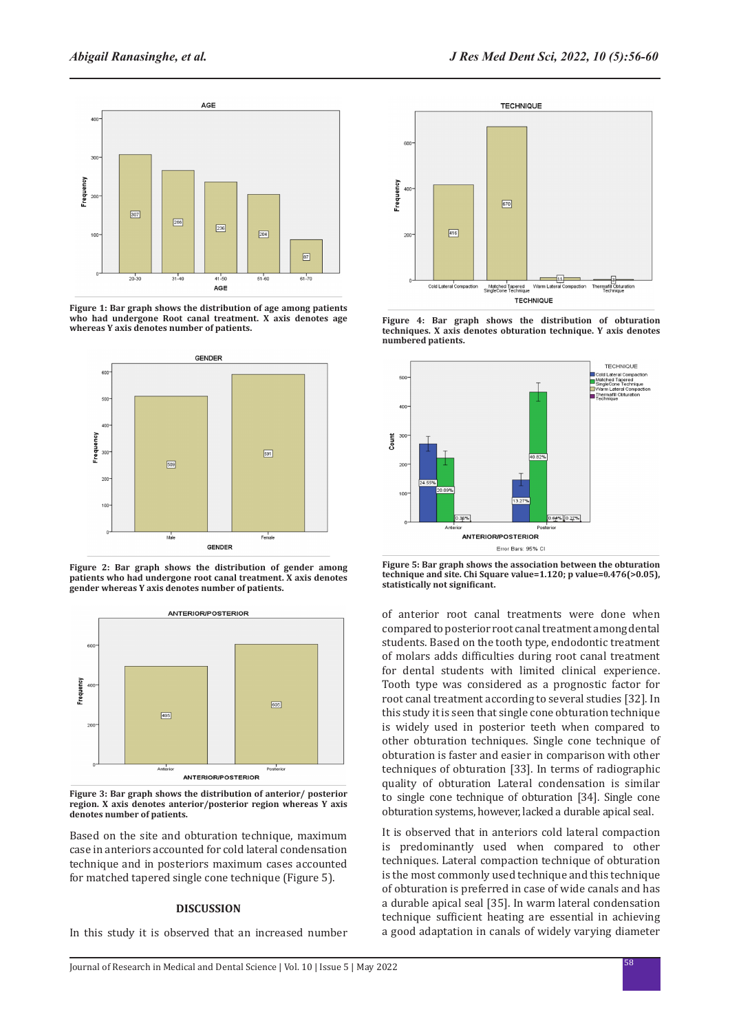

**Figure 1: Bar graph shows the distribution of age among patients who had undergone Root canal treatment. X axis denotes age whereas Y axis denotes number of patients.**



**Figure 2: Bar graph shows the distribution of gender among patients who had undergone root canal treatment. X axis denotes gender whereas Y axis denotes number of patients.**



**Figure 3: Bar graph shows the distribution of anterior/ posterior region. X axis denotes anterior/posterior region whereas Y axis denotes number of patients.**

Based on the site and obturation technique, maximum case in anteriors accounted for cold lateral condensation technique and in posteriors maximum cases accounted for matched tapered single cone technique (Figure 5).

### **DISCUSSION**

In this study it is observed that an increased number



**Figure 4: Bar graph shows the distribution of obturation techniques. X axis denotes obturation technique. Y axis denotes numbered patients.**



**Figure 5: Bar graph shows the association between the obturation technique and site. Chi Square value=1.120; p value=0.476(>0.05), statistically not significant.**

of anterior root canal treatments were done when compared to posterior root canal treatment among dental students. Based on the tooth type, endodontic treatment of molars adds difficulties during root canal treatment for dental students with limited clinical experience. Tooth type was considered as a prognostic factor for root canal treatment according to several studies [32]. In this study it is seen that single cone obturation technique is widely used in posterior teeth when compared to other obturation techniques. Single cone technique of obturation is faster and easier in comparison with other techniques of obturation [33]. In terms of radiographic quality of obturation Lateral condensation is similar to single cone technique of obturation [34]. Single cone obturation systems, however, lacked a durable apical seal.

It is observed that in anteriors cold lateral compaction is predominantly used when compared to other techniques. Lateral compaction technique of obturation is the most commonly used technique and this technique of obturation is preferred in case of wide canals and has a durable apical seal [35]. In warm lateral condensation technique sufficient heating are essential in achieving a good adaptation in canals of widely varying diameter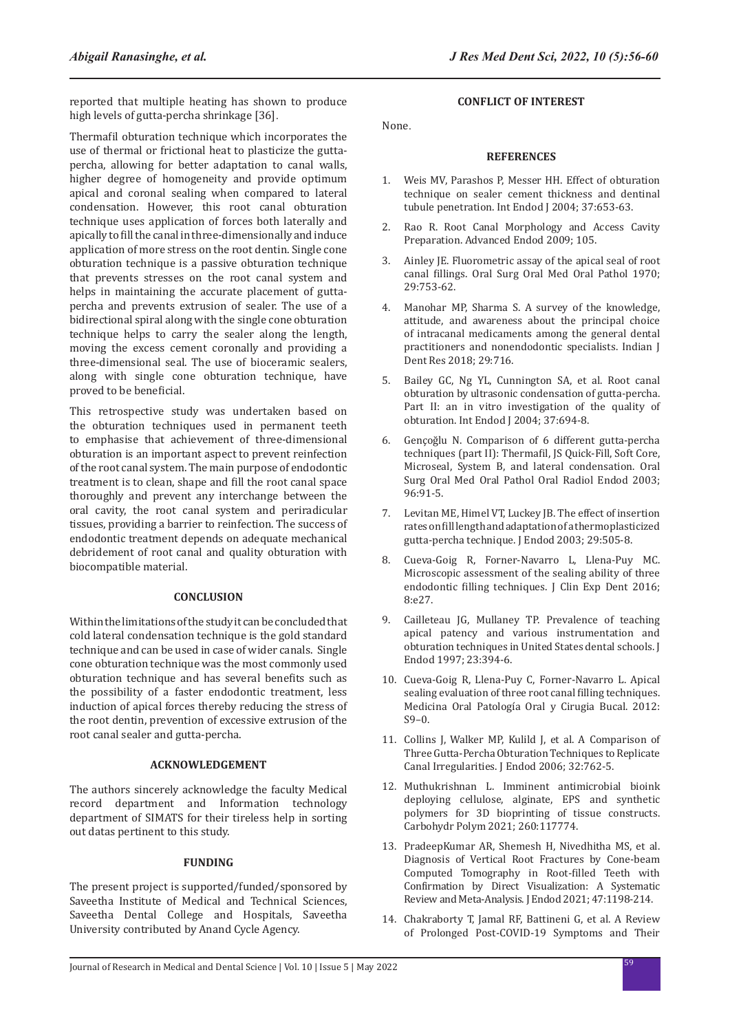reported that multiple heating has shown to produce high levels of gutta-percha shrinkage [36].

Thermafil obturation technique which incorporates the use of thermal or frictional heat to plasticize the guttapercha, allowing for better adaptation to canal walls, higher degree of homogeneity and provide optimum apical and coronal sealing when compared to lateral condensation. However, this root canal obturation technique uses application of forces both laterally and apically to fill the canal in three-dimensionally and induce application of more stress on the root dentin. Single cone obturation technique is a passive obturation technique that prevents stresses on the root canal system and helps in maintaining the accurate placement of guttapercha and prevents extrusion of sealer. The use of a bidirectional spiral along with the single cone obturation technique helps to carry the sealer along the length, moving the excess cement coronally and providing a three-dimensional seal. The use of bioceramic sealers, along with single cone obturation technique, have proved to be beneficial.

This retrospective study was undertaken based on the obturation techniques used in permanent teeth to emphasise that achievement of three-dimensional obturation is an important aspect to prevent reinfection of the root canal system. The main purpose of endodontic treatment is to clean, shape and fill the root canal space thoroughly and prevent any interchange between the oral cavity, the root canal system and periradicular tissues, providing a barrier to reinfection. The success of endodontic treatment depends on adequate mechanical debridement of root canal and quality obturation with biocompatible material.

## **CONCLUSION**

Within the limitations of the study it can be concluded that cold lateral condensation technique is the gold standard technique and can be used in case of wider canals. Single cone obturation technique was the most commonly used obturation technique and has several benefits such as the possibility of a faster endodontic treatment, less induction of apical forces thereby reducing the stress of the root dentin, prevention of excessive extrusion of the root canal sealer and gutta-percha.

#### **ACKNOWLEDGEMENT**

The authors sincerely acknowledge the faculty Medical record department and Information technology department of SIMATS for their tireless help in sorting out datas pertinent to this study.

#### **FUNDING**

The present project is supported/funded/sponsored by Saveetha Institute of Medical and Technical Sciences, Saveetha Dental College and Hospitals, Saveetha University contributed by Anand Cycle Agency.

## **CONFLICT OF INTEREST**

None.

#### **REFERENCES**

- 1. Weis MV, Parashos P, Messer HH. [Effect of obturation](https://onlinelibrary.wiley.com/doi/abs/10.1111/j.1365-2591.2004.00839.x)  [technique on sealer cement thickness and dentinal](https://onlinelibrary.wiley.com/doi/abs/10.1111/j.1365-2591.2004.00839.x)  [tubule penetration.](https://onlinelibrary.wiley.com/doi/abs/10.1111/j.1365-2591.2004.00839.x) Int Endod J 2004; 37:653-63.
- 2. Rao R. Root Canal Morphology and Access Cavity Preparation. Advanced Endod 2009; 105.
- 3. Ainley JE. [Fluorometric assay of the apical seal of root](https://www.sciencedirect.com/science/article/abs/pii/0030422070902744)  [canal fillings](https://www.sciencedirect.com/science/article/abs/pii/0030422070902744). Oral Surg Oral Med Oral Pathol 1970; 29:753-62.
- 4. Manohar MP, Sharma S. [A survey of the knowledge,](https://www.ijdr.in/article.asp?issn=0970-9290;year=2018;volume=29;issue=6;spage=716;epage=720;aulast=Manohar)  [attitude, and awareness about the principal choice](https://www.ijdr.in/article.asp?issn=0970-9290;year=2018;volume=29;issue=6;spage=716;epage=720;aulast=Manohar)  [of intracanal medicaments among the general dental](https://www.ijdr.in/article.asp?issn=0970-9290;year=2018;volume=29;issue=6;spage=716;epage=720;aulast=Manohar)  [practitioners and nonendodontic specialists](https://www.ijdr.in/article.asp?issn=0970-9290;year=2018;volume=29;issue=6;spage=716;epage=720;aulast=Manohar). Indian J Dent Res 2018; 29:716.
- 5. Bailey GC, Ng YL, Cunnington SA, et al. [Root canal](https://onlinelibrary.wiley.com/doi/abs/10.1111/j.1365-2591.2004.00858.x)  [obturation by ultrasonic condensation of gutta-percha.](https://onlinelibrary.wiley.com/doi/abs/10.1111/j.1365-2591.2004.00858.x)  [Part II: an in vitro investigation of the quality of](https://onlinelibrary.wiley.com/doi/abs/10.1111/j.1365-2591.2004.00858.x)  [obturation.](https://onlinelibrary.wiley.com/doi/abs/10.1111/j.1365-2591.2004.00858.x) Int Endod J 2004; 37:694-8.
- 6. Gençoğlu N. [Comparison of 6 different gutta-percha](https://www.sciencedirect.com/science/article/abs/pii/S107921040291704X)  [techniques \(part II\): Thermafil, JS Quick-Fill, Soft Core,](https://www.sciencedirect.com/science/article/abs/pii/S107921040291704X)  [Microseal, System B, and lateral condensation](https://www.sciencedirect.com/science/article/abs/pii/S107921040291704X). Oral Surg Oral Med Oral Pathol Oral Radiol Endod 2003; 96:91-5.
- 7. Levitan ME, Himel VT, Luckey JB. [The effect of insertion](https://www.sciencedirect.com/science/article/abs/pii/S0099239905603949)  [rates on fill length and adaptation of a thermoplasticized](https://www.sciencedirect.com/science/article/abs/pii/S0099239905603949)  [gutta-percha technique](https://www.sciencedirect.com/science/article/abs/pii/S0099239905603949). J Endod 2003; 29:505-8.
- 8. Cueva-Goig R, Forner-Navarro L, Llena-Puy MC. [Microscopic assessment of the sealing ability of three](http://www.medicinaoral.com/medoralfree01/aop/52847.pdf)  [endodontic filling techniques](http://www.medicinaoral.com/medoralfree01/aop/52847.pdf). J Clin Exp Dent 2016; 8:e27.
- 9. Cailleteau JG, Mullaney TP. [Prevalence of teaching](https://www.sciencedirect.com/science/article/abs/pii/S0099239997801914)  [apical patency and various instrumentation and](https://www.sciencedirect.com/science/article/abs/pii/S0099239997801914)  [obturation techniques in United States dental schools](https://www.sciencedirect.com/science/article/abs/pii/S0099239997801914). J Endod 1997; 23:394-6.
- 10. Cueva-Goig R, Llena-Puy C, Forner-Navarro L. Apical sealing evaluation of three root canal filling techniques. Medicina Oral Patología Oral y Cirugia Bucal. 2012: S9–0.
- 11. Collins J, Walker MP, Kulild J, et al. [A Comparison of](https://www.sciencedirect.com/science/article/abs/pii/S0099239905000385)  [Three Gutta-Percha Obturation Techniques to Replicate](https://www.sciencedirect.com/science/article/abs/pii/S0099239905000385)  [Canal Irregularities](https://www.sciencedirect.com/science/article/abs/pii/S0099239905000385). J Endod 2006; 32:762-5.
- 12. Muthukrishnan L. [Imminent antimicrobial bioink](https://www.sciencedirect.com/science/article/abs/pii/S0144861721001612)  [deploying cellulose, alginate, EPS and synthetic](https://www.sciencedirect.com/science/article/abs/pii/S0144861721001612)  [polymers for 3D bioprinting of tissue constructs.](https://www.sciencedirect.com/science/article/abs/pii/S0144861721001612) Carbohydr Polym 2021; 260:117774.
- 13. PradeepKumar AR, Shemesh H, Nivedhitha MS, et al. [Diagnosis of Vertical Root Fractures by Cone-beam](https://www.jendodon.com/article/S0099-2399(21)00288-0/fulltext)  [Computed Tomography in Root-filled Teeth with](https://www.jendodon.com/article/S0099-2399(21)00288-0/fulltext)  [Confirmation by Direct Visualization: A Systematic](https://www.jendodon.com/article/S0099-2399(21)00288-0/fulltext)  [Review and Meta-Analysis.](https://www.jendodon.com/article/S0099-2399(21)00288-0/fulltext) J Endod 2021; 47:1198-214.
- 14. Chakraborty T, Jamal RF, Battineni G, et al. [A Review](https://www.mdpi.com/1660-4601/18/10/5131)  [of Prolonged Post-COVID-19 Symptoms and Their](https://www.mdpi.com/1660-4601/18/10/5131)